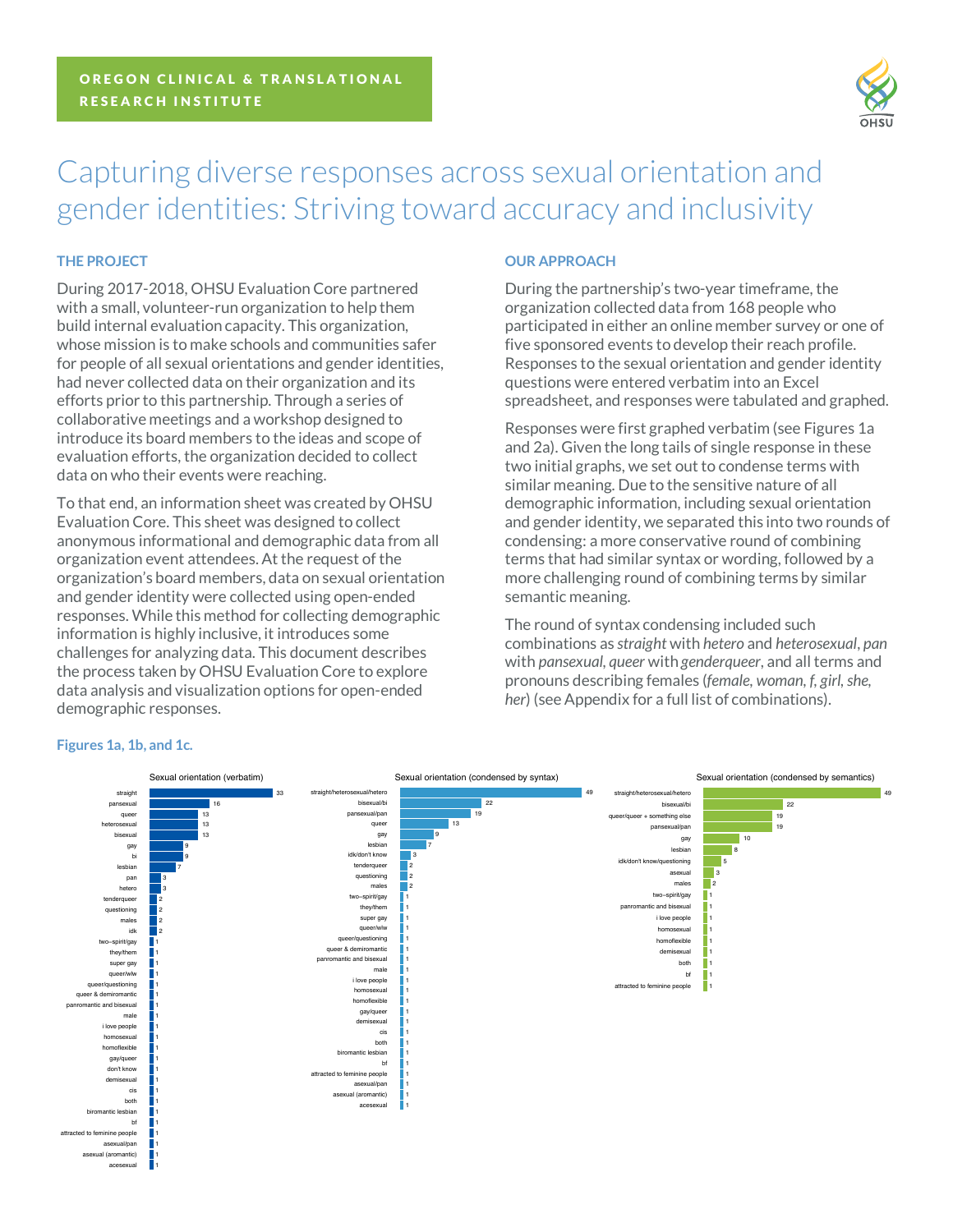

# Capturing diverse responses across sexual orientation and gender identities: Striving toward accuracy and inclusivity

# **THE PROJECT**

During 2017-2018, OHSU Evaluation Core partnered with a small, volunteer-run organization to help them build internal evaluation capacity. This organization, whose mission is to make schools and communities safer for people of all sexual orientations and gender identities, had never collected data on their organization and its efforts prior to this partnership. Through a series of collaborative meetings and a workshop designed to introduce its board members to the ideas and scope of evaluation efforts, the organization decided to collect data on who their events were reaching.

To that end, an information sheet was created by OHSU Evaluation Core. This sheet was designed to collect anonymous informational and demographic data from all organization event attendees. At the request of the organization's board members, data on sexual orientation and gender identity were collected using open-ended responses. While this method for collecting demographic information is highly inclusive, it introduces some challenges for analyzing data. This document describes the process taken by OHSU Evaluation Core to explore data analysis and visualization options for open-ended demographic responses.

## **OUR APPROACH**

During the partnership's two-year timeframe, the organization collected data from 168 people who participated in either an online member survey or one of five sponsored events to develop their reach profile. Responses to the sexual orientation and gender identity questions were entered verbatim into an Excel spreadsheet, and responses were tabulated and graphed.

Responses were first graphed verbatim (see Figures 1a and 2a). Given the long tails of single response in these two initial graphs, we set out to condense terms with similar meaning. Due to the sensitive nature of all demographic information, including sexual orientation and gender identity, we separated this into two rounds of condensing: a more conservative round of combining terms that had similar syntax or wording, followed by a more challenging round of combining terms by similar semantic meaning.

The round of syntax condensing included such combinations as *straight* with *hetero* and *heterosexual*, *pan* with *pansexual*, *queer* with *genderqueer*, and all terms and pronouns describing females (*female, woman, f, girl, she, her*) (see Appendix for a full list of combinations).



# **Figures 1a, 1b, and 1c.**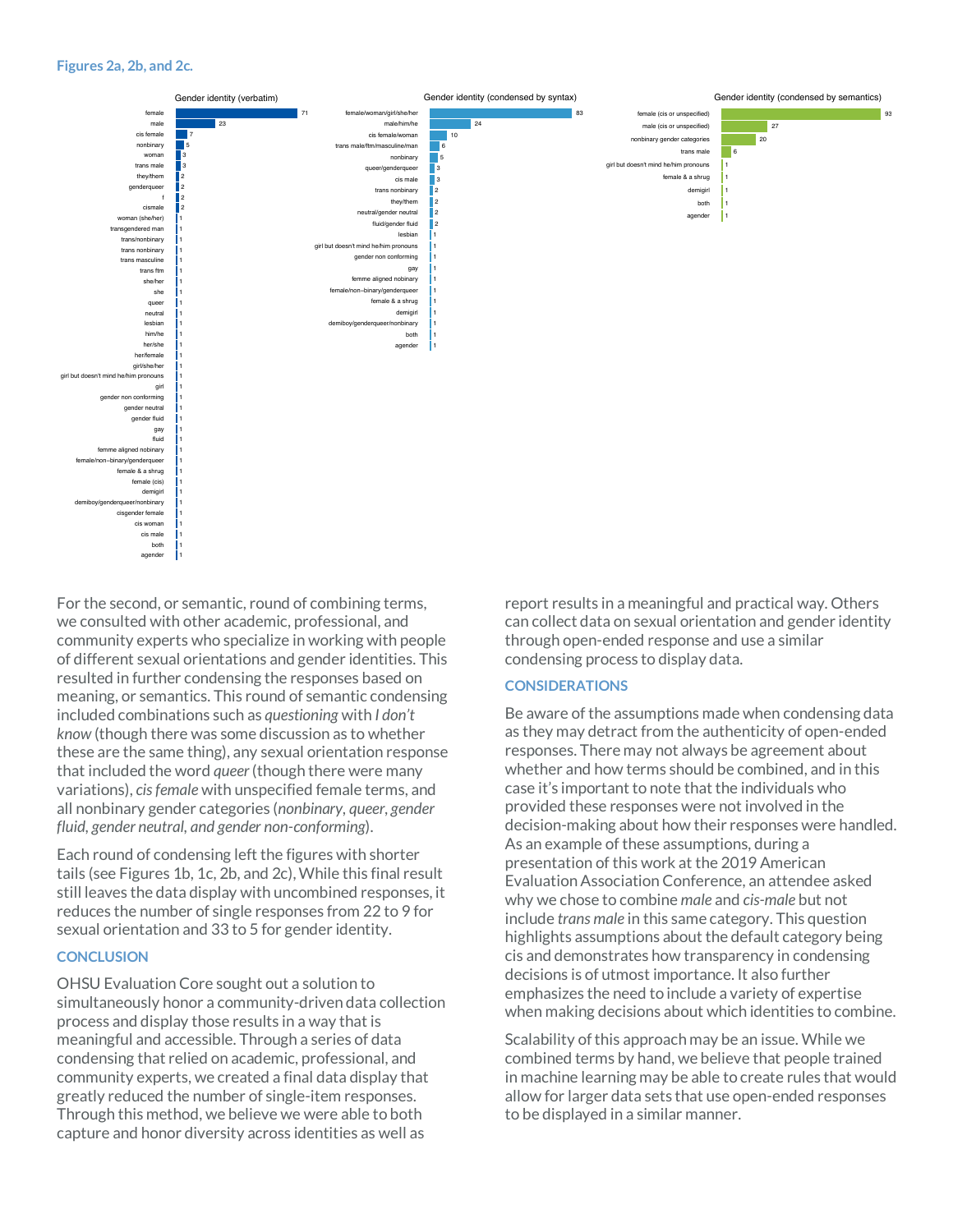#### **Figures 2a, 2b, and 2c.**



For the second, or semantic, round of combining terms, we consulted with other academic, professional, and community experts who specialize in working with people of different sexual orientations and gender identities. This resulted in further condensing the responses based on meaning, or semantics. This round of semantic condensing included combinations such as *questioning* with *I don't know* (though there was some discussion as to whether these are the same thing), any sexual orientation response that included the word *queer*(though there were many variations), *cis female* with unspecified female terms, and all nonbinary gender categories (*nonbinary, queer, gender fluid, gender neutral, and gender non-conforming*).

Each round of condensing left the figures with shorter tails (see Figures 1b, 1c, 2b, and 2c), While this final result still leaves the data display with uncombined responses, it reduces the number of single responses from 22 to 9 for sexual orientation and 33 to 5 for gender identity.

#### **CONCLUSION**

OHSU Evaluation Core sought out a solution to simultaneously honor a community-driven data collection process and display those results in a way that is meaningful and accessible. Through a series of data condensing that relied on academic, professional, and community experts, we created a final data display that greatly reduced the number of single-item responses. Through this method, we believe we were able to both capture and honor diversity across identities as well as

report results in a meaningful and practical way. Others can collect data on sexual orientation and gender identity through open-ended response and use a similar condensing process to display data.

#### **CONSIDERATIONS**

Be aware of the assumptions made when condensing data as they may detract from the authenticity of open-ended responses. There may not always be agreement about whether and how terms should be combined, and in this case it's important to note that the individuals who provided these responses were not involved in the decision-making about how their responses were handled. As an example of these assumptions, during a presentation of this work at the 2019 American Evaluation Association Conference, an attendee asked why we chose to combine *male* and *cis-male* but not include *trans male* in this same category. This question highlights assumptions about the default category being cis and demonstrates how transparency in condensing decisions is of utmost importance. It also further emphasizes the need to include a variety of expertise when making decisions about which identities to combine.

Scalability of this approach may be an issue. While we combined terms by hand, we believe that people trained in machine learning may be able to create rules that would allow for larger data sets that use open-ended responses to be displayed in a similar manner.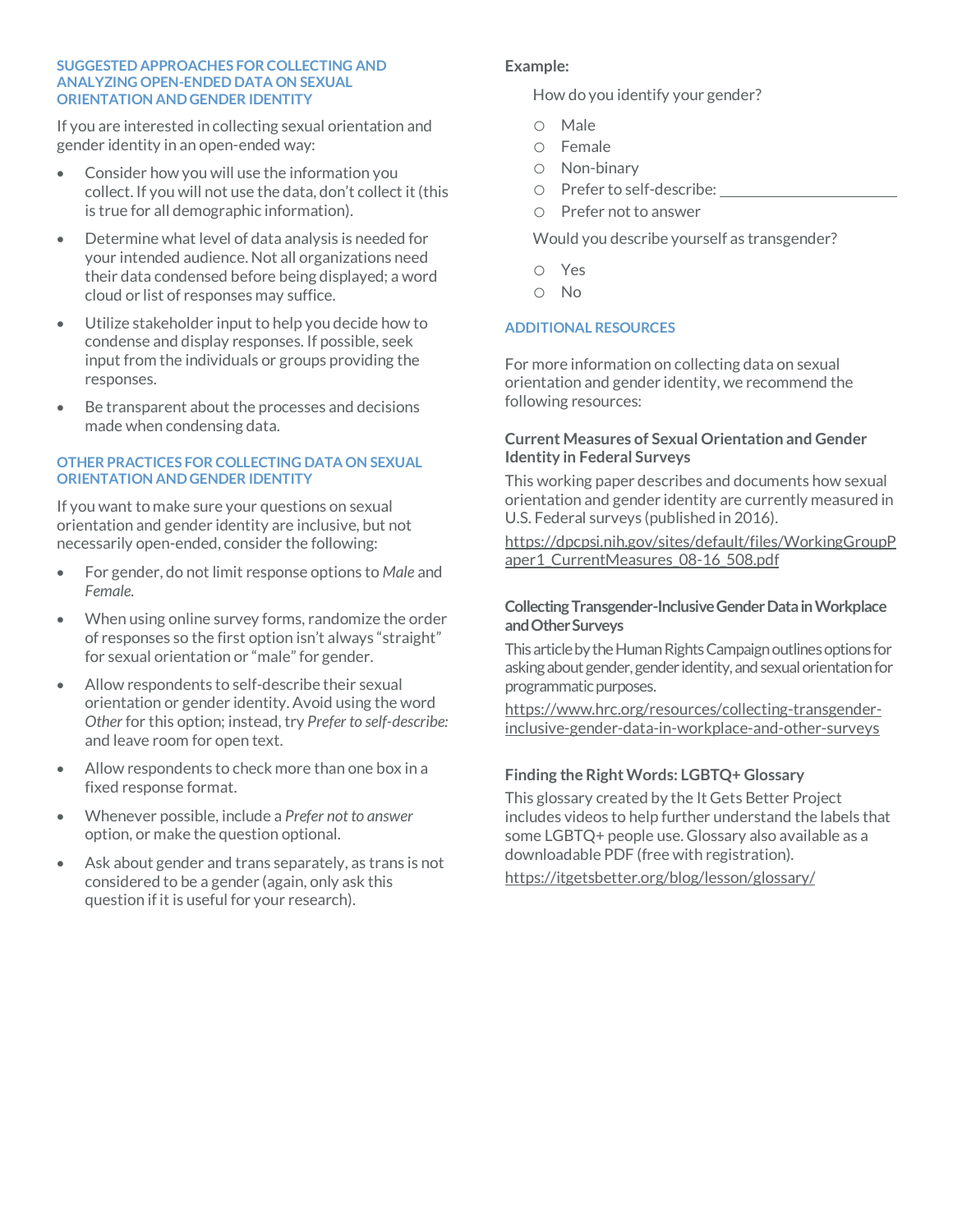#### **SUGGESTED APPROACHES FOR COLLECTING AND ANALYZING OPEN-ENDED DATA ON SEXUAL ORIENTATION AND GENDER IDENTITY**

If you are interested in collecting sexual orientation and gender identity in an open-ended way:

- Consider how you will use the information you collect. If you will not use the data, don't collect it (this is true for all demographic information).
- Determine what level of data analysis is needed for your intended audience. Not all organizations need their data condensed before being displayed; a word cloud or list of responses may suffice.
- Utilize stakeholder input to help you decide how to condense and display responses. If possible, seek input from the individuals or groups providing the responses.
- Be transparent about the processes and decisions made when condensing data.

#### **OTHER PRACTICES FOR COLLECTING DATA ON SEXUAL ORIENTATION AND GENDER IDENTITY**

If you want to make sure your questions on sexual orientation and gender identity are inclusive, but not necessarily open-ended, consider the following:

- For gender, do not limit response options to *Male* and *Female.*
- When using online survey forms, randomize the order of responses so the first option isn't always "straight" for sexual orientation or "male" for gender.
- Allow respondents to self-describe their sexual orientation or gender identity. Avoid using the word *Other* for this option; instead, try *Prefer to self-describe:* and leave room for open text.
- Allow respondents to check more than one box in a fixed response format.
- Whenever possible, include a *Prefer not to answer* option, or make the question optional.
- Ask about gender and trans separately, as trans is not considered to be a gender (again, only ask this question if it is useful for your research).

# **Example:**

How do you identify your gender?

- o Male
- o Female
- o Non-binary
- o Prefer to self-describe:
- o Prefer not to answer

Would you describe yourself as transgender?

- o Yes
- o No

# **ADDITIONAL RESOURCES**

For more information on collecting data on sexual orientation and gender identity, we recommend the following resources:

## **Current Measures of Sexual Orientation and Gender Identity in Federal Surveys**

This working paper describes and documents how sexual orientation and gender identity are currently measured in U.S. Federal surveys (published in 2016).

https://dpcpsi.nih.gov/sites/default/files/WorkingGroupP aper1\_CurrentMeasures\_08-16\_508.pdf

## **Collecting Transgender-Inclusive Gender Data in Workplace and Other Surveys**

This article by the Human Rights Campaign outlines options for asking about gender, gender identity, and sexual orientation for programmatic purposes.

https://www.hrc.org/resources/collecting-transgenderinclusive-gender-data-in-workplace-and-other-surveys

# **Finding the Right Words: LGBTQ+ Glossary**

This glossary created by the It Gets Better Project includes videos to help further understand the labels that some LGBTQ+ people use. Glossary also available as a downloadable PDF (free with registration).

https://itgetsbetter.org/blog/lesson/glossary/